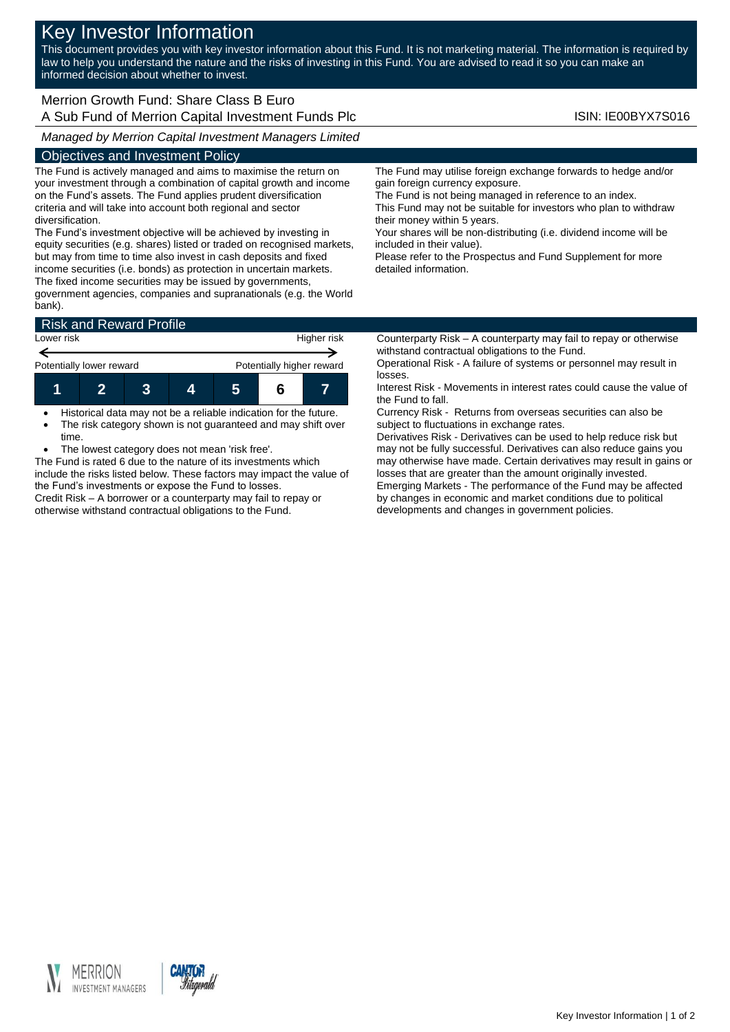# Key Investor Information

This document provides you with key investor information about this Fund. It is not marketing material. The information is required by law to help you understand the nature and the risks of investing in this Fund. You are advised to read it so you can make an informed decision about whether to invest.

## Merrion Growth Fund: Share Class B Euro A Sub Fund of Merrion Capital Investment Funds Plc **ISIN: IE00BYX7S016** ISIN: IE00BYX7S016

*Managed by Merrion Capital Investment Managers Limited*

### Objectives and Investment Policy

The Fund is actively managed and aims to maximise the return on your investment through a combination of capital growth and income on the Fund's assets. The Fund applies prudent diversification criteria and will take into account both regional and sector diversification.

The Fund's investment objective will be achieved by investing in equity securities (e.g. shares) listed or traded on recognised markets, but may from time to time also invest in cash deposits and fixed income securities (i.e. bonds) as protection in uncertain markets. The fixed income securities may be issued by governments,

government agencies, companies and supranationals (e.g. the World bank).

| <b>Risk and Reward Profile</b> |  |  |  |                           |  |  |  |
|--------------------------------|--|--|--|---------------------------|--|--|--|
| Lower risk                     |  |  |  | Higher risk               |  |  |  |
| Potentially lower reward       |  |  |  | Potentially higher reward |  |  |  |
|                                |  |  |  | 5                         |  |  |  |

 Historical data may not be a reliable indication for the future. • The risk category shown is not guaranteed and may shift over time.

The lowest category does not mean 'risk free'.

The Fund is rated 6 due to the nature of its investments which include the risks listed below. These factors may impact the value of the Fund's investments or expose the Fund to losses. Credit Risk – A borrower or a counterparty may fail to repay or otherwise withstand contractual obligations to the Fund.

The Fund may utilise foreign exchange forwards to hedge and/or gain foreign currency exposure.

The Fund is not being managed in reference to an index. This Fund may not be suitable for investors who plan to withdraw their money within 5 years.

Your shares will be non-distributing (i.e. dividend income will be included in their value).

Please refer to the Prospectus and Fund Supplement for more detailed information.

Counterparty Risk – A counterparty may fail to repay or otherwise withstand contractual obligations to the Fund.

Operational Risk - A failure of systems or personnel may result in losses.

Interest Risk - Movements in interest rates could cause the value of the Fund to fall.

Currency Risk - Returns from overseas securities can also be subject to fluctuations in exchange rates.

Derivatives Risk - Derivatives can be used to help reduce risk but may not be fully successful. Derivatives can also reduce gains you may otherwise have made. Certain derivatives may result in gains or losses that are greater than the amount originally invested. Emerging Markets - The performance of the Fund may be affected by changes in economic and market conditions due to political developments and changes in government policies.